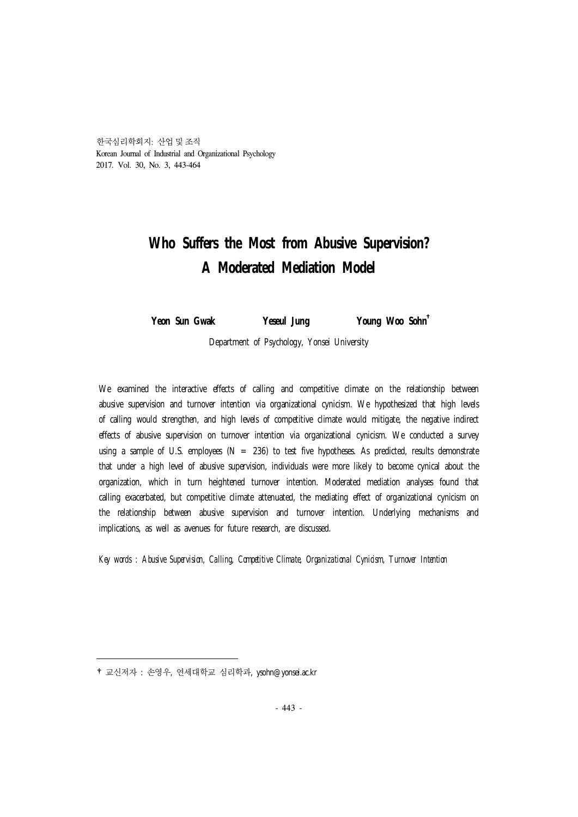한국심리학회지: 산업 및 조직 Korean Journal of Industrial and Organizational Psychology 2017. Vol. 30, No. 3, 443-464

# **Who Suffers the Most from Abusive Supervision? A Moderated Mediation Model**

**Yeon Sun Gwak Yeseul Jung Young Woo Sohn** †

Department of Psychology, Yonsei University

We examined the interactive effects of calling and competitive climate on the relationship between abusive supervision and turnover intention via organizational cynicism. We hypothesized that high levels of calling would strengthen, and high levels of competitive climate would mitigate, the negative indirect effects of abusive supervision on turnover intention via organizational cynicism. We conducted a survey using a sample of U.S. employees ( $N = 236$ ) to test five hypotheses. As predicted, results demonstrate that under a high level of abusive supervision, individuals were more likely to become cynical about the organization, which in turn heightened turnover intention. Moderated mediation analyses found that calling exacerbated, but competitive climate attenuated, the mediating effect of organizational cynicism on the relationship between abusive supervision and turnover intention. Underlying mechanisms and implications, as well as avenues for future research, are discussed.

*Key words : Abusive Supervision, Calling, Competitive Climate, Organizational Cynicism, Turnover Intention*

<sup>†</sup>교신저자 : 손영우, 연세대학교 심리학과, ysohn@yonsei.ac.kr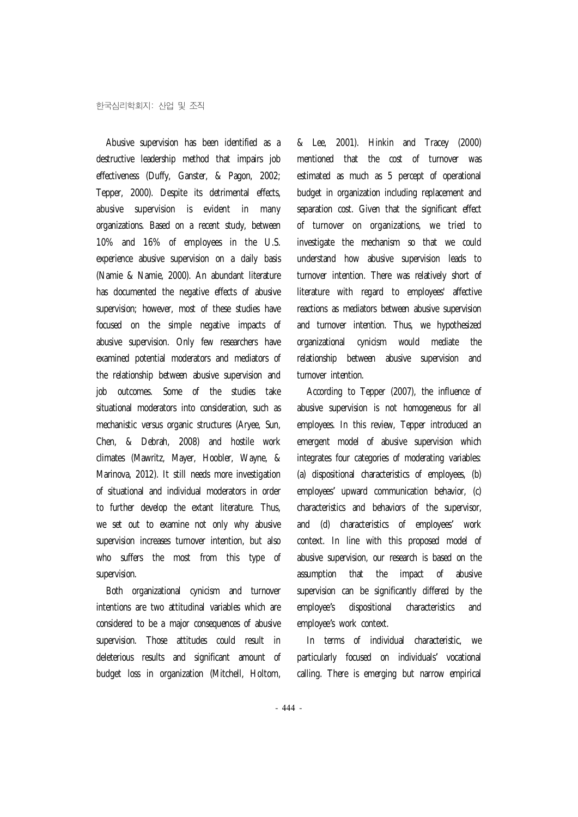Abusive supervision has been identified as a destructive leadership method that impairs job effectiveness (Duffy, Ganster, & Pagon, 2002; Tepper, 2000). Despite its detrimental effects, abusive supervision is evident in many organizations. Based on a recent study, between 10% and 16% of employees in the U.S. experience abusive supervision on a daily basis (Namie & Namie, 2000). An abundant literature has documented the negative effects of abusive supervision; however, most of these studies have focused on the simple negative impacts of abusive supervision. Only few researchers have examined potential moderators and mediators of the relationship between abusive supervision and job outcomes. Some of the studies take situational moderators into consideration, such as mechanistic versus organic structures (Aryee, Sun, Chen, & Debrah, 2008) and hostile work climates (Mawritz, Mayer, Hoobler, Wayne, & Marinova, 2012). It still needs more investigation of situational and individual moderators in order to further develop the extant literature. Thus, we set out to examine not only why abusive supervision increases turnover intention, but also who suffers the most from this type of supervision.

Both organizational cynicism and turnover intentions are two attitudinal variables which are considered to be a major consequences of abusive supervision. Those attitudes could result in deleterious results and significant amount of budget loss in organization (Mitchell, Holtom, & Lee, 2001). Hinkin and Tracey (2000) mentioned that the cost of turnover was estimated as much as 5 percept of operational budget in organization including replacement and separation cost. Given that the significant effect of turnover on organizations, we tried to investigate the mechanism so that we could understand how abusive supervision leads to turnover intention. There was relatively short of literature with regard to employees' affective reactions as mediators between abusive supervision and turnover intention. Thus, we hypothesized organizational cynicism would mediate the relationship between abusive supervision and turnover intention.

According to Tepper (2007), the influence of abusive supervision is not homogeneous for all employees. In this review, Tepper introduced an emergent model of abusive supervision which integrates four categories of moderating variables: (a) dispositional characteristics of employees, (b) employees' upward communication behavior, (c) characteristics and behaviors of the supervisor, and (d) characteristics of employees' work context. In line with this proposed model of abusive supervision, our research is based on the assumption that the impact of abusive supervision can be significantly differed by the employee's dispositional characteristics and employee's work context.

In terms of individual characteristic, we particularly focused on individuals' vocational calling. There is emerging but narrow empirical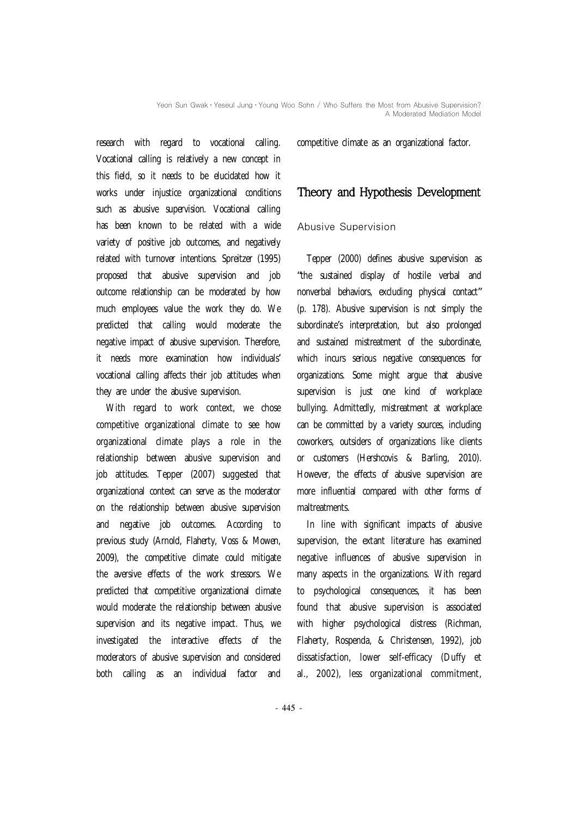research with regard to vocational calling. Vocational calling is relatively a new concept in this field, so it needs to be elucidated how it works under injustice organizational conditions such as abusive supervision. Vocational calling has been known to be related with a wide variety of positive job outcomes, and negatively related with turnover intentions. Spreitzer (1995) proposed that abusive supervision and job outcome relationship can be moderated by how much employees value the work they do. We predicted that calling would moderate the negative impact of abusive supervision. Therefore, it needs more examination how individuals' vocational calling affects their job attitudes when they are under the abusive supervision.

With regard to work context, we chose competitive organizational climate to see how organizational climate plays a role in the relationship between abusive supervision and job attitudes. Tepper (2007) suggested that organizational context can serve as the moderator on the relationship between abusive supervision and negative job outcomes. According to previous study (Arnold, Flaherty, Voss & Mowen, 2009), the competitive climate could mitigate the aversive effects of the work stressors. We predicted that competitive organizational climate would moderate the relationship between abusive supervision and its negative impact. Thus, we investigated the interactive effects of the moderators of abusive supervision and considered both calling as an individual factor and

competitive climate as an organizational factor.

# Theory and Hypothesis Development

## Abusive Supervision

Tepper (2000) defines abusive supervision as "the sustained display of hostile verbal and nonverbal behaviors, excluding physical contact" (p. 178). Abusive supervision is not simply the subordinate's interpretation, but also prolonged and sustained mistreatment of the subordinate, which incurs serious negative consequences for organizations. Some might argue that abusive supervision is just one kind of workplace bullying. Admittedly, mistreatment at workplace can be committed by a variety sources, including coworkers, outsiders of organizations like clients or customers (Hershcovis & Barling, 2010). However, the effects of abusive supervision are more influential compared with other forms of maltreatments.

In line with significant impacts of abusive supervision, the extant literature has examined negative influences of abusive supervision in many aspects in the organizations. With regard to psychological consequences, it has been found that abusive supervision is associated with higher psychological distress (Richman, Flaherty, Rospenda, & Christensen, 1992), job dissatisfaction, lower self-efficacy (Duffy et al., 2002), less organizational commitment,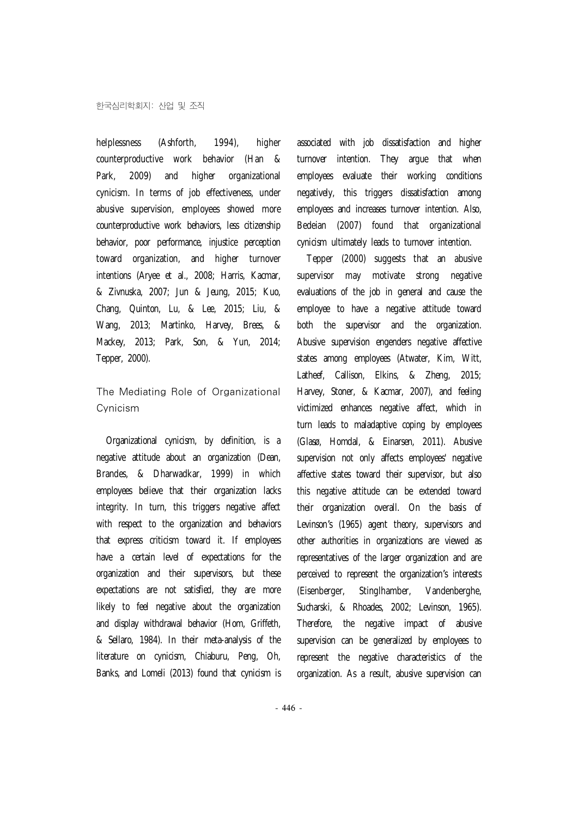helplessness (Ashforth, 1994), higher counterproductive work behavior (Han & Park, 2009) and higher organizational cynicism. In terms of job effectiveness, under abusive supervision, employees showed more counterproductive work behaviors, less citizenship behavior, poor performance, injustice perception toward organization, and higher turnover intentions (Aryee et al., 2008; Harris, Kacmar, & Zivnuska, 2007; Jun & Jeung, 2015; Kuo, Chang, Quinton, Lu, & Lee, 2015; Liu, & Wang, 2013; Martinko, Harvey, Brees, & Mackey, 2013; Park, Son, & Yun, 2014; Tepper, 2000).

The Mediating Role of Organizational Cynicism

Organizational cynicism, by definition, is a negative attitude about an organization (Dean, Brandes, & Dharwadkar, 1999) in which employees believe that their organization lacks integrity. In turn, this triggers negative affect with respect to the organization and behaviors that express criticism toward it. If employees have a certain level of expectations for the organization and their supervisors, but these expectations are not satisfied, they are more likely to feel negative about the organization and display withdrawal behavior (Hom, Griffeth, & Sellaro, 1984). In their meta-analysis of the literature on cynicism, Chiaburu, Peng, Oh, Banks, and Lomeli (2013) found that cynicism is

associated with job dissatisfaction and higher turnover intention. They argue that when employees evaluate their working conditions negatively, this triggers dissatisfaction among employees and increases turnover intention. Also, Bedeian (2007) found that organizational cynicism ultimately leads to turnover intention.

Tepper (2000) suggests that an abusive supervisor may motivate strong negative evaluations of the job in general and cause the employee to have a negative attitude toward both the supervisor and the organization. Abusive supervision engenders negative affective states among employees (Atwater, Kim, Witt, Latheef, Callison, Elkins, & Zheng, 2015; Harvey, Stoner, & Kacmar, 2007), and feeling victimized enhances negative affect, which in turn leads to maladaptive coping by employees (Glasø, Homdal, & Einarsen, 2011). Abusive supervision not only affects employees' negative affective states toward their supervisor, but also this negative attitude can be extended toward their organization overall. On the basis of Levinson's (1965) agent theory, supervisors and other authorities in organizations are viewed as representatives of the larger organization and are perceived to represent the organization's interests (Eisenberger, Stinglhamber, Vandenberghe, Sucharski, & Rhoades, 2002; Levinson, 1965). Therefore, the negative impact of abusive supervision can be generalized by employees to represent the negative characteristics of the organization. As a result, abusive supervision can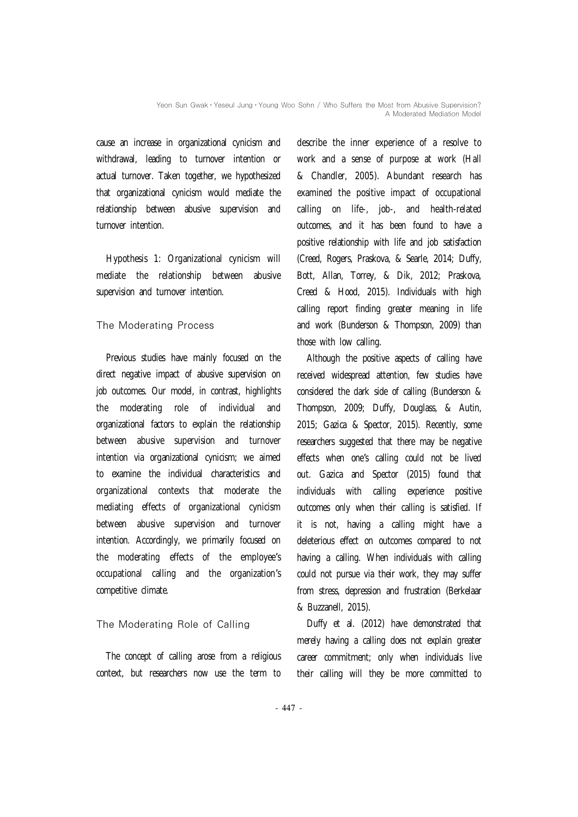cause an increase in organizational cynicism and withdrawal, leading to turnover intention or actual turnover. Taken together, we hypothesized that organizational cynicism would mediate the relationship between abusive supervision and turnover intention.

Hypothesis 1: Organizational cynicism will mediate the relationship between abusive supervision and turnover intention.

# The Moderating Process

Previous studies have mainly focused on the direct negative impact of abusive supervision on job outcomes. Our model, in contrast, highlights the moderating role of individual and organizational factors to explain the relationship between abusive supervision and turnover intention via organizational cynicism; we aimed to examine the individual characteristics and organizational contexts that moderate the mediating effects of organizational cynicism between abusive supervision and turnover intention. Accordingly, we primarily focused on the moderating effects of the employee's occupational calling and the organization's competitive climate.

# The Moderating Role of Calling

The concept of calling arose from a religious context, but researchers now use the term to describe the inner experience of a resolve to work and a sense of purpose at work (Hall & Chandler, 2005). Abundant research has examined the positive impact of occupational calling on life-, job-, and health-related outcomes, and it has been found to have a positive relationship with life and job satisfaction (Creed, Rogers, Praskova, & Searle, 2014; Duffy, Bott, Allan, Torrey, & Dik, 2012; Praskova, Creed & Hood, 2015). Individuals with high calling report finding greater meaning in life and work (Bunderson & Thompson, 2009) than those with low calling.

Although the positive aspects of calling have received widespread attention, few studies have considered the dark side of calling (Bunderson & Thompson, 2009; Duffy, Douglass, & Autin, 2015; Gazica & Spector, 2015). Recently, some researchers suggested that there may be negative effects when one's calling could not be lived out. Gazica and Spector (2015) found that individuals with calling experience positive outcomes only when their calling is satisfied. If it is not, having a calling might have a deleterious effect on outcomes compared to not having a calling. When individuals with calling could not pursue via their work, they may suffer from stress, depression and frustration (Berkelaar & Buzzanell, 2015).

Duffy et al. (2012) have demonstrated that merely having a calling does not explain greater career commitment; only when individuals live their calling will they be more committed to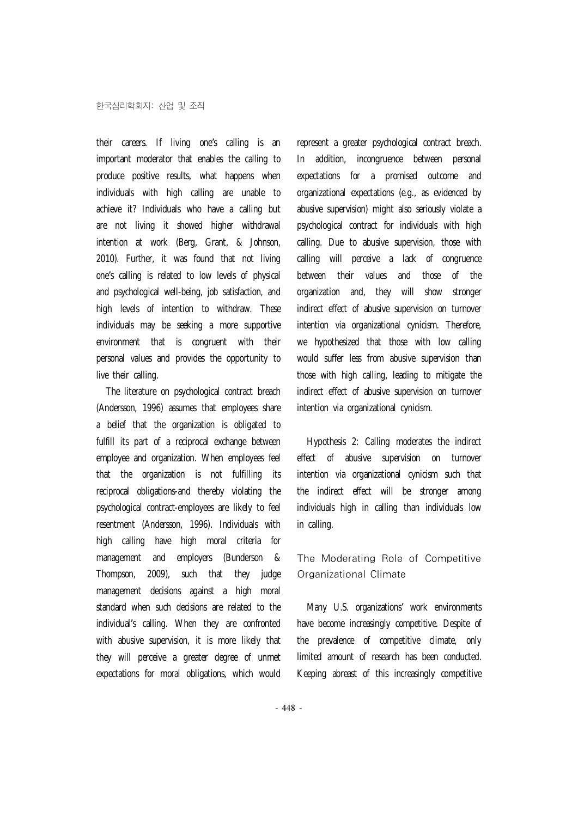their careers. If living one's calling is an important moderator that enables the calling to produce positive results, what happens when individuals with high calling are unable to achieve it? Individuals who have a calling but are not living it showed higher withdrawal intention at work (Berg, Grant, & Johnson, 2010). Further, it was found that not living one's calling is related to low levels of physical and psychological well-being, job satisfaction, and high levels of intention to withdraw. These individuals may be seeking a more supportive environment that is congruent with their personal values and provides the opportunity to live their calling.

The literature on psychological contract breach (Andersson, 1996) assumes that employees share a belief that the organization is obligated to fulfill its part of a reciprocal exchange between employee and organization. When employees feel that the organization is not fulfilling its reciprocal obligations-and thereby violating the psychological contract-employees are likely to feel resentment (Andersson, 1996). Individuals with high calling have high moral criteria for management and employers (Bunderson & Thompson, 2009), such that they judge management decisions against a high moral standard when such decisions are related to the individual's calling. When they are confronted with abusive supervision, it is more likely that they will perceive a greater degree of unmet expectations for moral obligations, which would

represent a greater psychological contract breach. In addition, incongruence between personal expectations for a promised outcome and organizational expectations (e.g., as evidenced by abusive supervision) might also seriously violate a psychological contract for individuals with high calling. Due to abusive supervision, those with calling will perceive a lack of congruence between their values and those of the organization and, they will show stronger indirect effect of abusive supervision on turnover intention via organizational cynicism. Therefore, we hypothesized that those with low calling would suffer less from abusive supervision than those with high calling, leading to mitigate the indirect effect of abusive supervision on turnover intention via organizational cynicism.

Hypothesis 2: Calling moderates the indirect effect of abusive supervision on turnover intention via organizational cynicism such that the indirect effect will be stronger among individuals high in calling than individuals low in calling.

# The Moderating Role of Competitive Organizational Climate

Many U.S. organizations' work environments have become increasingly competitive. Despite of the prevalence of competitive climate, only limited amount of research has been conducted. Keeping abreast of this increasingly competitive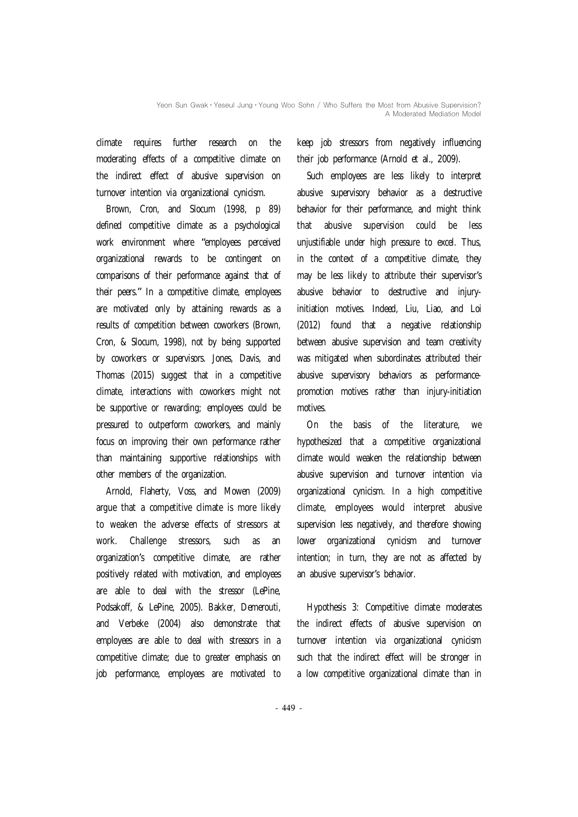climate requires further research on the moderating effects of a competitive climate on the indirect effect of abusive supervision on turnover intention via organizational cynicism.

Brown, Cron, and Slocum (1998, p 89) defined competitive climate as a psychological work environment where "employees perceived organizational rewards to be contingent on comparisons of their performance against that of their peers." In a competitive climate, employees are motivated only by attaining rewards as a results of competition between coworkers (Brown, Cron, & Slocum, 1998), not by being supported by coworkers or supervisors. Jones, Davis, and Thomas (2015) suggest that in a competitive climate, interactions with coworkers might not be supportive or rewarding; employees could be pressured to outperform coworkers, and mainly focus on improving their own performance rather than maintaining supportive relationships with other members of the organization.

Arnold, Flaherty, Voss, and Mowen (2009) argue that a competitive climate is more likely to weaken the adverse effects of stressors at work. Challenge stressors, such as an organization's competitive climate, are rather positively related with motivation, and employees are able to deal with the stressor (LePine, Podsakoff, & LePine, 2005). Bakker, Demerouti, and Verbeke (2004) also demonstrate that employees are able to deal with stressors in a competitive climate; due to greater emphasis on job performance, employees are motivated to

keep job stressors from negatively influencing their job performance (Arnold et al., 2009).

Such employees are less likely to interpret abusive supervisory behavior as a destructive behavior for their performance, and might think that abusive supervision could be less unjustifiable under high pressure to excel. Thus, in the context of a competitive climate, they may be less likely to attribute their supervisor's abusive behavior to destructive and injuryinitiation motives. Indeed, Liu, Liao, and Loi (2012) found that a negative relationship between abusive supervision and team creativity was mitigated when subordinates attributed their abusive supervisory behaviors as performancepromotion motives rather than injury-initiation motives.

On the basis of the literature, we hypothesized that a competitive organizational climate would weaken the relationship between abusive supervision and turnover intention via organizational cynicism. In a high competitive climate, employees would interpret abusive supervision less negatively, and therefore showing lower organizational cynicism and turnover intention; in turn, they are not as affected by an abusive supervisor's behavior.

Hypothesis 3: Competitive climate moderates the indirect effects of abusive supervision on turnover intention via organizational cynicism such that the indirect effect will be stronger in a low competitive organizational climate than in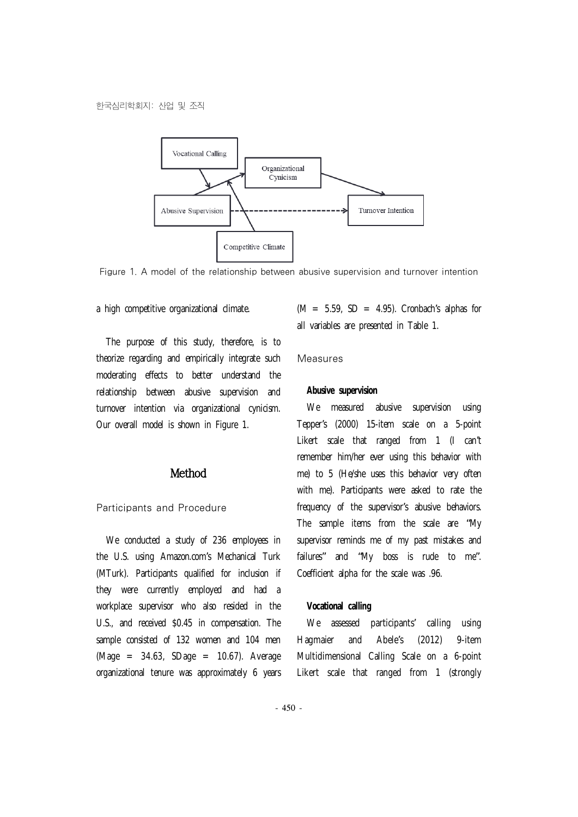

Figure 1. A model of the relationship between abusive supervision and turnover intention

a high competitive organizational climate.

The purpose of this study, therefore, is to theorize regarding and empirically integrate such moderating effects to better understand the relationship between abusive supervision and turnover intention via organizational cynicism. Our overall model is shown in Figure 1.

# Method

## Participants and Procedure

We conducted a study of 236 employees in the U.S. using Amazon.com's Mechanical Turk (MTurk). Participants qualified for inclusion if they were currently employed and had a workplace supervisor who also resided in the U.S., and received \$0.45 in compensation. The sample consisted of 132 women and 104 men  $(Maqe = 34.63, SDaqe = 10.67)$ . Average organizational tenure was approximately 6 years

 $(M = 5.59, SD = 4.95)$ . Cronbach's alphas for all variables are presented in Table 1.

#### Measures

#### **Abusive supervision**

We measured abusive supervision using Tepper's (2000) 15-item scale on a 5-point Likert scale that ranged from 1 (I can't remember him/her ever using this behavior with me) to 5 (He/she uses this behavior very often with me). Participants were asked to rate the frequency of the supervisor's abusive behaviors. The sample items from the scale are "My supervisor reminds me of my past mistakes and failures" and "My boss is rude to me". Coefficient alpha for the scale was .96.

#### **Vocational calling**

We assessed participants' calling using Hagmaier and Abele's (2012) 9-item Multidimensional Calling Scale on a 6-point Likert scale that ranged from 1 (strongly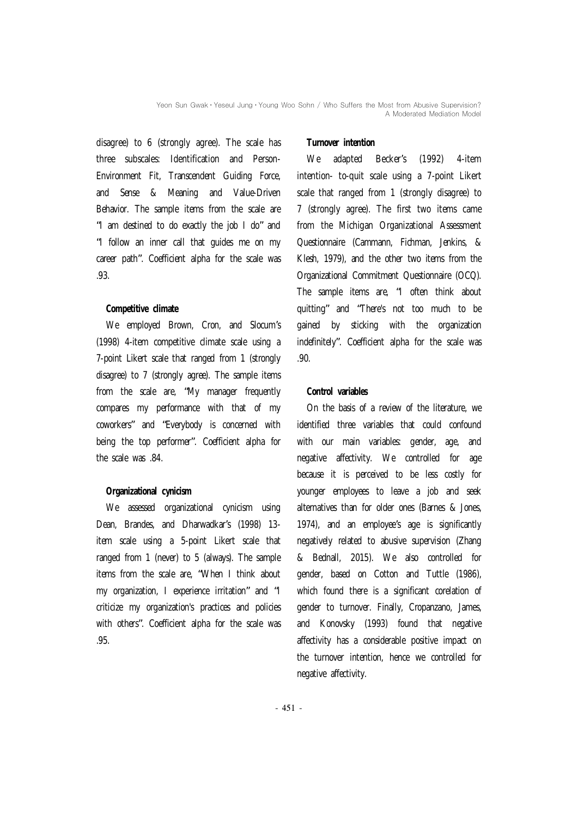disagree) to 6 (strongly agree). The scale has three subscales: Identification and Person-Environment Fit, Transcendent Guiding Force, and Sense & Meaning and Value-Driven Behavior. The sample items from the scale are "I am destined to do exactly the job I do" and "I follow an inner call that guides me on my career path". Coefficient alpha for the scale was .93.

## **Competitive climate**

We employed Brown, Cron, and Slocum's (1998) 4-item competitive climate scale using a 7-point Likert scale that ranged from 1 (strongly disagree) to 7 (strongly agree). The sample items from the scale are, "My manager frequently compares my performance with that of my coworkers" and "Everybody is concerned with being the top performer". Coefficient alpha for the scale was .84.

# **Organizational cynicism**

We assessed organizational cynicism using Dean, Brandes, and Dharwadkar's (1998) 13 item scale using a 5-point Likert scale that ranged from 1 (never) to 5 (always). The sample items from the scale are, "When I think about my organization, I experience irritation" and "I criticize my organization's practices and policies with others". Coefficient alpha for the scale was .95.

## **Turnover intention**

We adapted Becker's (1992) 4-item intention- to-quit scale using a 7-point Likert scale that ranged from 1 (strongly disagree) to 7 (strongly agree). The first two items came from the Michigan Organizational Assessment Questionnaire (Cammann, Fichman, Jenkins, & Klesh, 1979), and the other two items from the Organizational Commitment Questionnaire (OCQ). The sample items are, "I often think about quitting" and "There's not too much to be gained by sticking with the organization indefinitely". Coefficient alpha for the scale was .90.

# **Control variables**

On the basis of a review of the literature, we identified three variables that could confound with our main variables: gender, age, and negative affectivity. We controlled for age because it is perceived to be less costly for younger employees to leave a job and seek alternatives than for older ones (Barnes & Jones, 1974), and an employee's age is significantly negatively related to abusive supervision (Zhang & Bednall, 2015). We also controlled for gender, based on Cotton and Tuttle (1986), which found there is a significant corelation of gender to turnover. Finally, Cropanzano, James, and Konovsky (1993) found that negative affectivity has a considerable positive impact on the turnover intention, hence we controlled for negative affectivity.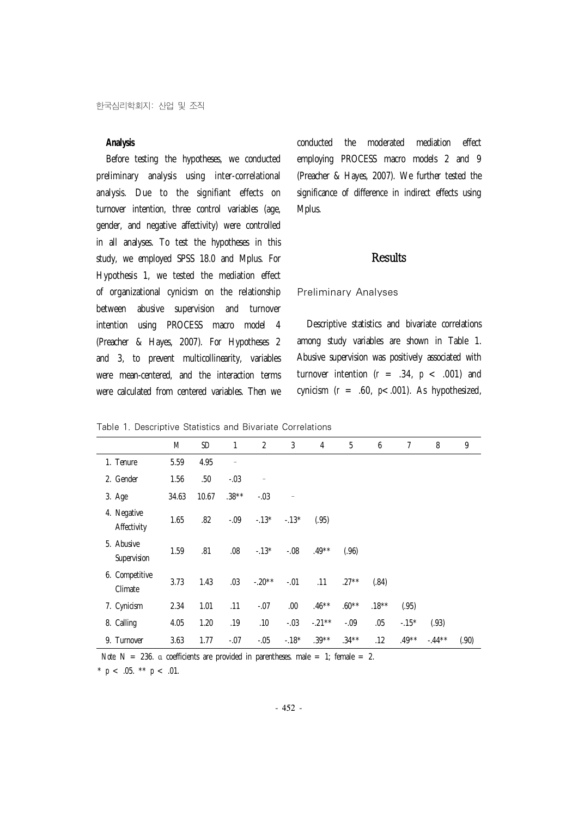## **Analysis**

Before testing the hypotheses, we conducted preliminary analysis using inter-correlational analysis. Due to the signifiant effects on turnover intention, three control variables (age, gender, and negative affectivity) were controlled in all analyses. To test the hypotheses in this study, we employed SPSS 18.0 and Mplus. For Hypothesis 1, we tested the mediation effect of organizational cynicism on the relationship between abusive supervision and turnover intention using PROCESS macro model 4 (Preacher & Hayes, 2007). For Hypotheses 2 and 3, to prevent multicollinearity, variables were mean-centered, and the interaction terms were calculated from centered variables. Then we

conducted the moderated mediation effect employing PROCESS macro models 2 and 9 (Preacher & Hayes, 2007). We further tested the significance of difference in indirect effects using Mplus.

## **Results**

## Preliminary Analyses

Descriptive statistics and bivariate correlations among study variables are shown in Table 1. Abusive supervision was positively associated with turnover intention  $(r = .34, p < .001)$  and cynicism (*r* = .60, *p*<.001). As hypothesized,

|  |  | Table 1. Descriptive Statistics and Bivariate Correlations |  |  |  |
|--|--|------------------------------------------------------------|--|--|--|
|--|--|------------------------------------------------------------|--|--|--|

|                            | M     | <b>SD</b> | 1        | $\overline{2}$ | 3      | 4        | 5        | 6        | 7       | 8        | 9     |
|----------------------------|-------|-----------|----------|----------------|--------|----------|----------|----------|---------|----------|-------|
| 1. Tenure                  | 5.59  | 4.95      | -        |                |        |          |          |          |         |          |       |
| 2. Gender                  | 1.56  | .50       | $-.03$   | $\equiv$       |        |          |          |          |         |          |       |
| 3. Age                     | 34.63 | 10.67     | $.38***$ | $-.03$         |        |          |          |          |         |          |       |
| 4. Negative<br>Affectivity | 1.65  | .82       | $-0.09$  | $-13*$         | $-13*$ | (.95)    |          |          |         |          |       |
| 5. Abusive<br>Supervision  | 1.59  | .81       | .08      | $-.13*$        | $-.08$ | $.49**$  | (.96)    |          |         |          |       |
| 6. Competitive<br>Climate  | 3.73  | 1.43      | .03      | $-.20**$       | $-.01$ | .11      | $.27**$  | (.84)    |         |          |       |
| 7. Cynicism                | 2.34  | 1.01      | .11      | $-.07$         | .00    | $.46***$ | $.60**$  | $.18***$ | (.95)   |          |       |
| 8. Calling                 | 4.05  | 1.20      | .19      | .10            | $-.03$ | $-.21**$ | $-.09$   | .05      | $-15*$  | (.93)    |       |
| 9. Turnover                | 3.63  | 1.77      | $-.07$   | $-.05$         | $-18*$ | $.39***$ | $.34***$ | .12      | $.49**$ | $-.44**$ | (.90) |

*Note*. N = 236. α coefficients are provided in parentheses. male = 1; female = 2.

\*  $p$  < .05. \*\*  $p$  < .01.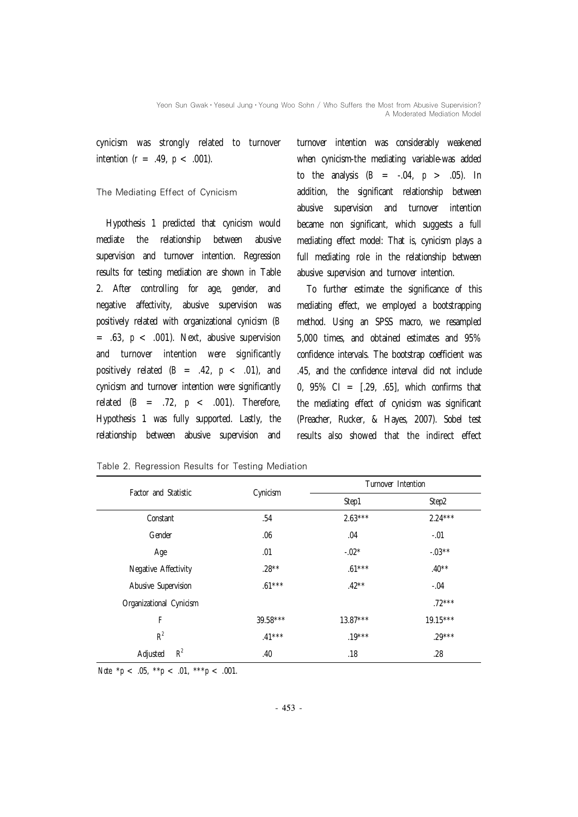cynicism was strongly related to turnover intention  $(r = .49, p < .001)$ .

#### The Mediating Effect of Cynicism

Hypothesis 1 predicted that cynicism would mediate the relationship between abusive supervision and turnover intention. Regression results for testing mediation are shown in Table 2. After controlling for age, gender, and negative affectivity, abusive supervision was positively related with organizational cynicism (*B*  $=$  .63,  $p <$  .001). Next, abusive supervision and turnover intention were significantly positively related  $(B = .42, p < .01)$ , and cynicism and turnover intention were significantly related  $(B = .72, p < .001)$ . Therefore, Hypothesis 1 was fully supported. Lastly, the relationship between abusive supervision and

turnover intention was considerably weakened when cynicism-the mediating variable-was added to the analysis (*B* = -.04, *p* > .05). In addition, the significant relationship between abusive supervision and turnover intention became non significant, which suggests a full mediating effect model: That is, cynicism plays a full mediating role in the relationship between abusive supervision and turnover intention.

To further estimate the significance of this mediating effect, we employed a bootstrapping method. Using an SPSS macro, we resampled 5,000 times, and obtained estimates and 95% confidence intervals. The bootstrap coefficient was .45, and the confidence interval did not include 0,  $95\%$  CI =  $[.29, .65]$ , which confirms that the mediating effect of cynicism was significant (Preacher, Rucker, & Hayes, 2007). Sobel test results also showed that the indirect effect

| Factor and Statistic    |          | Turnover Intention |            |  |  |
|-------------------------|----------|--------------------|------------|--|--|
|                         | Cynicism | Step1              | Step2      |  |  |
| Constant                | .54      | $2.63***$          | $2.24***$  |  |  |
| Gender                  | .06      | .04                | $-.01$     |  |  |
| Age                     | .01      | $-.02*$            | $-.03**$   |  |  |
| Negative Affectivity    | $.28***$ | $.61***$           | $.40**$    |  |  |
| Abusive Supervision     | $.61***$ | $.42**$            | $-.04$     |  |  |
| Organizational Cynicism |          |                    | $.72***$   |  |  |
| F                       | 39.58*** | $13.87***$         | $19.15***$ |  |  |
| $R^2$                   | $.41***$ | $.19***$           | $.29***$   |  |  |
| $R^2$<br>Adjusted       | .40      | .18                | .28        |  |  |

Table 2. Regression Results for Testing Mediation

Note  $* p < .05$ ,  $* p < .01$ ,  $* * p < .001$ .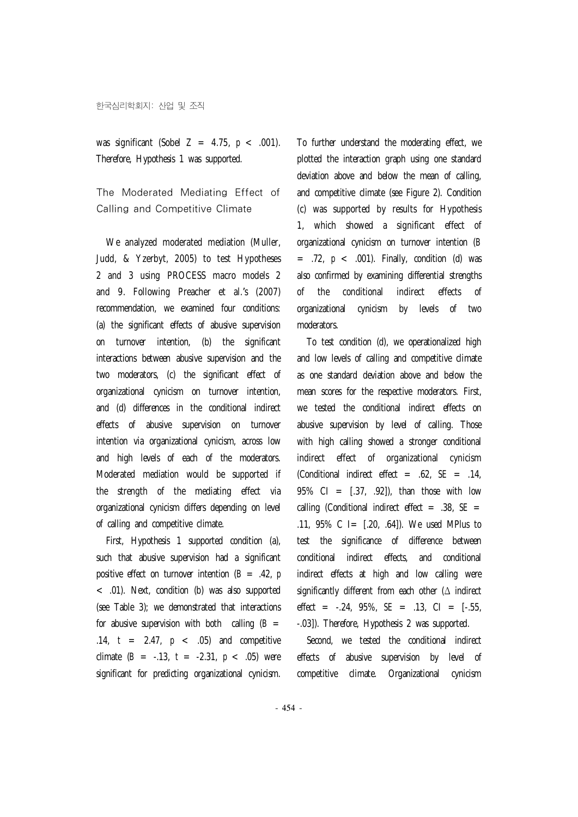was significant (Sobel *Z* = 4.75, *p* < .001). Therefore, Hypothesis 1 was supported.

The Moderated Mediating Effect of Calling and Competitive Climate

We analyzed moderated mediation (Muller, Judd, & Yzerbyt, 2005) to test Hypotheses 2 and 3 using PROCESS macro models 2 and 9. Following Preacher et al.'s (2007) recommendation, we examined four conditions: (a) the significant effects of abusive supervision on turnover intention, (b) the significant interactions between abusive supervision and the two moderators, (c) the significant effect of organizational cynicism on turnover intention, and (d) differences in the conditional indirect effects of abusive supervision on turnover intention via organizational cynicism, across low and high levels of each of the moderators. Moderated mediation would be supported if the strength of the mediating effect via organizational cynicism differs depending on level of calling and competitive climate.

First, Hypothesis 1 supported condition (a), such that abusive supervision had a significant positive effect on turnover intention (*B* = .42, *p* < .01). Next, condition (b) was also supported (see Table 3); we demonstrated that interactions for abusive supervision with both calling  $(B =$ .14, *t* = 2.47, *p* < .05) and competitive climate  $(B = -.13, t = -2.31, p < .05)$  were significant for predicting organizational cynicism.

To further understand the moderating effect, we plotted the interaction graph using one standard deviation above and below the mean of calling, and competitive climate (see Figure 2). Condition (c) was supported by results for Hypothesis 1, which showed a significant effect of organizational cynicism on turnover intention (*B*  $=$  .72,  $p <$  .001). Finally, condition (d) was also confirmed by examining differential strengths of the conditional indirect effects of organizational cynicism by levels of two moderators.

To test condition (d), we operationalized high and low levels of calling and competitive climate as one standard deviation above and below the mean scores for the respective moderators. First, we tested the conditional indirect effects on abusive supervision by level of calling. Those with high calling showed a stronger conditional indirect effect of organizational cynicism (Conditional indirect effect = .62, *SE* = .14, 95% CI =  $[0.37, 0.92]$ , than those with low calling (Conditional indirect effect = .38, *SE* = .11, 95% C I= [.20, .64]). We used MPlus to test the significance of difference between conditional indirect effects, and conditional indirect effects at high and low calling were significantly different from each other ( $\Delta$  indirect effect =  $-0.24$ , 95%,  $SE = 0.13$ ,  $CI = [-0.55]$ -.03]). Therefore, Hypothesis 2 was supported.

Second, we tested the conditional indirect effects of abusive supervision by level of competitive climate. Organizational cynicism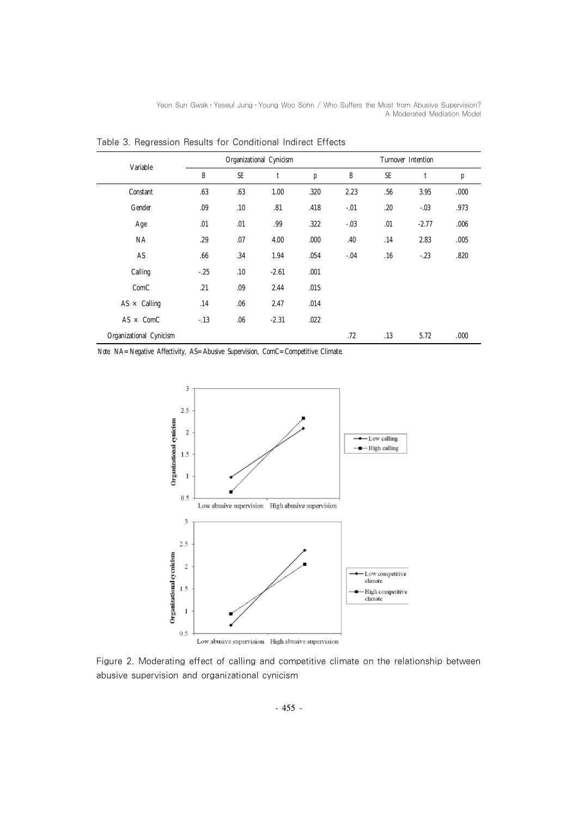Yeon Sun Gwak • Yeseul Jung • Young Woo Sohn / Who Suffers the Most from Abusive Supervision? A Moderated Mediation Model

|                         | Organizational Cynicism |           |         |      |         | Turnover Intention |         |      |  |
|-------------------------|-------------------------|-----------|---------|------|---------|--------------------|---------|------|--|
| Variable                | B                       | <b>SE</b> | t       | р    | B       | <b>SE</b>          | t       | р    |  |
| Constant                | .63                     | .63       | 1.00    | .320 | 2.23    | .56                | 3.95    | .000 |  |
| Gender                  | .09                     | .10       | .81     | .418 | $-.01$  | .20                | $-0.03$ | .973 |  |
| Age                     | .01                     | .01       | .99     | .322 | $-0.03$ | .01                | $-2.77$ | .006 |  |
| <b>NA</b>               | .29                     | .07       | 4.00    | .000 | .40     | .14                | 2.83    | .005 |  |
| AS                      | .66                     | .34       | 1.94    | .054 | $-.04$  | .16                | $-23$   | .820 |  |
| Calling                 | $-25$                   | .10       | $-2.61$ | .001 |         |                    |         |      |  |
| ComC                    | .21                     | .09       | 2.44    | .015 |         |                    |         |      |  |
| $AS \times$ Calling     | .14                     | .06       | 2.47    | .014 |         |                    |         |      |  |
| $AS \times COM$         | $-13$                   | .06       | $-2.31$ | .022 |         |                    |         |      |  |
| Organizational Cynicism |                         |           |         |      | .72     | .13                | 5.72    | .000 |  |

Table 3. Regression Results for Conditional Indirect Effects

*Note*. NA=Negative Affectivity, AS=Abusive Supervision, ComC=Competitive Climate.



Figure 2. Moderating effect of calling and competitive climate on the relationship between abusive supervision and organizational cynicism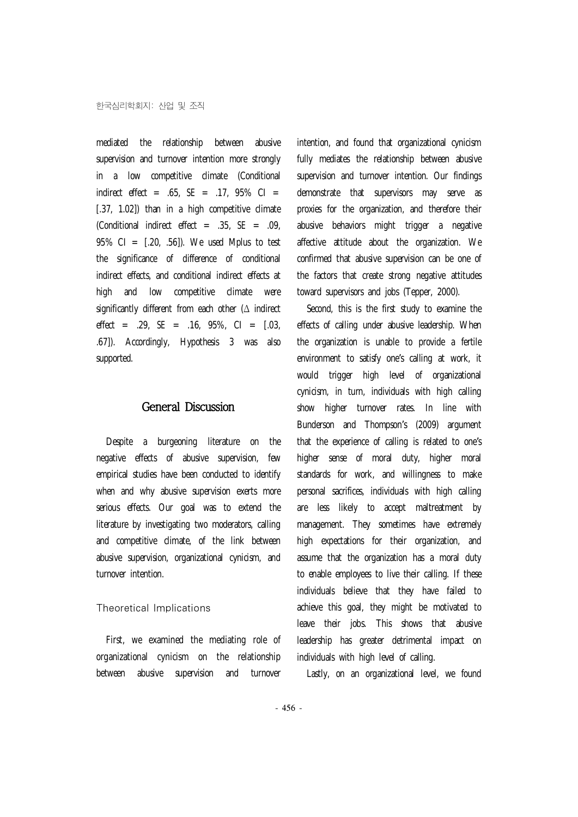mediated the relationship between abusive supervision and turnover intention more strongly in a low competitive climate (Conditional indirect effect = .65, *SE* = .17, 95% CI = [.37, 1.02]) than in a high competitive climate (Conditional indirect effect = .35, *SE* = .09, 95% CI =  $[0.20, 0.56]$ . We used Mplus to test the significance of difference of conditional indirect effects, and conditional indirect effects at high and low competitive climate were significantly different from each other (Δ indirect effect = .29, *SE* = .16, 95%, CI = [.03, .67]). Accordingly, Hypothesis 3 was also supported.

#### General Discussion

Despite a burgeoning literature on the negative effects of abusive supervision, few empirical studies have been conducted to identify when and why abusive supervision exerts more serious effects. Our goal was to extend the literature by investigating two moderators, calling and competitive climate, of the link between abusive supervision, organizational cynicism, and turnover intention.

## Theoretical Implications

First, we examined the mediating role of organizational cynicism on the relationship between abusive supervision and turnover

intention, and found that organizational cynicism fully mediates the relationship between abusive supervision and turnover intention. Our findings demonstrate that supervisors may serve as proxies for the organization, and therefore their abusive behaviors might trigger a negative affective attitude about the organization. We confirmed that abusive supervision can be one of the factors that create strong negative attitudes toward supervisors and jobs (Tepper, 2000).

Second, this is the first study to examine the effects of calling under abusive leadership. When the organization is unable to provide a fertile environment to satisfy one's calling at work, it would trigger high level of organizational cynicism, in turn, individuals with high calling show higher turnover rates. In line with Bunderson and Thompson's (2009) argument that the experience of calling is related to one's higher sense of moral duty, higher moral standards for work, and willingness to make personal sacrifices, individuals with high calling are less likely to accept maltreatment by management. They sometimes have extremely high expectations for their organization, and assume that the organization has a moral duty to enable employees to live their calling. If these individuals believe that they have failed to achieve this goal, they might be motivated to leave their jobs. This shows that abusive leadership has greater detrimental impact on individuals with high level of calling.

Lastly, on an organizational level, we found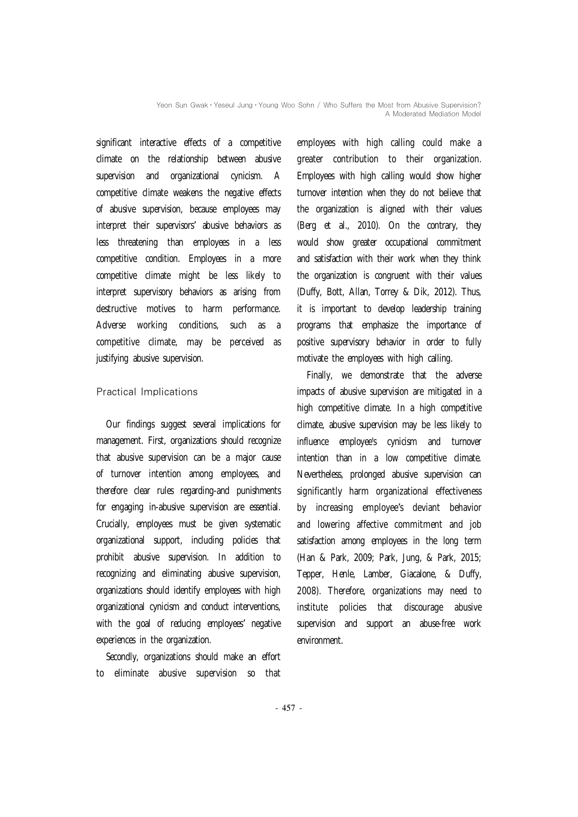Yeon Sun Gwak • Yeseul Jung • Young Woo Sohn / Who Suffers the Most from Abusive Supervision? A Moderated Mediation Model

significant interactive effects of a competitive climate on the relationship between abusive supervision and organizational cynicism. A competitive climate weakens the negative effects of abusive supervision, because employees may interpret their supervisors' abusive behaviors as less threatening than employees in a less competitive condition. Employees in a more competitive climate might be less likely to interpret supervisory behaviors as arising from destructive motives to harm performance. Adverse working conditions, such as a competitive climate, may be perceived as justifying abusive supervision.

## Practical Implications

Our findings suggest several implications for management. First, organizations should recognize that abusive supervision can be a major cause of turnover intention among employees, and therefore clear rules regarding-and punishments for engaging in-abusive supervision are essential. Crucially, employees must be given systematic organizational support, including policies that prohibit abusive supervision. In addition to recognizing and eliminating abusive supervision, organizations should identify employees with high organizational cynicism and conduct interventions, with the goal of reducing employees' negative experiences in the organization.

Secondly, organizations should make an effort to eliminate abusive supervision so that employees with high calling could make a greater contribution to their organization. Employees with high calling would show higher turnover intention when they do not believe that the organization is aligned with their values (Berg et al., 2010). On the contrary, they would show greater occupational commitment and satisfaction with their work when they think the organization is congruent with their values (Duffy, Bott, Allan, Torrey & Dik, 2012). Thus, it is important to develop leadership training programs that emphasize the importance of positive supervisory behavior in order to fully motivate the employees with high calling.

Finally, we demonstrate that the adverse impacts of abusive supervision are mitigated in a high competitive climate. In a high competitive climate, abusive supervision may be less likely to influence employee's cynicism and turnover intention than in a low competitive climate. Nevertheless, prolonged abusive supervision can significantly harm organizational effectiveness by increasing employee's deviant behavior and lowering affective commitment and job satisfaction among employees in the long term (Han & Park, 2009; Park, Jung, & Park, 2015; Tepper, Henle, Lamber, Giacalone, & Duffy, 2008). Therefore, organizations may need to institute policies that discourage abusive supervision and support an abuse-free work environment.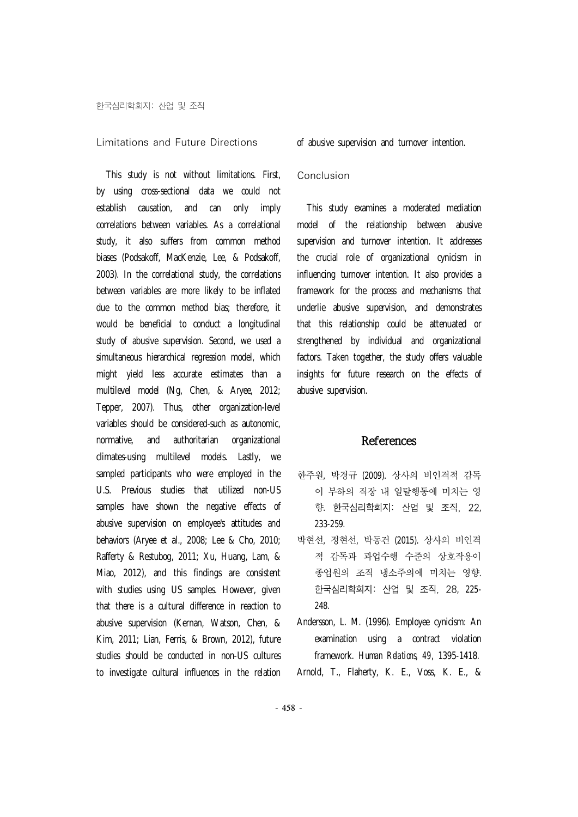#### Limitations and Future Directions

This study is not without limitations. First, by using cross-sectional data we could not establish causation, and can only imply correlations between variables. As a correlational study, it also suffers from common method biases (Podsakoff, MacKenzie, Lee, & Podsakoff, 2003). In the correlational study, the correlations between variables are more likely to be inflated due to the common method bias; therefore, it would be beneficial to conduct a longitudinal study of abusive supervision. Second, we used a simultaneous hierarchical regression model, which might yield less accurate estimates than a multilevel model (Ng, Chen, & Aryee, 2012; Tepper, 2007). Thus, other organization-level variables should be considered-such as autonomic, normative, and authoritarian organizational climates-using multilevel models. Lastly, we sampled participants who were employed in the U.S. Previous studies that utilized non-US samples have shown the negative effects of abusive supervision on employee's attitudes and behaviors (Aryee et al., 2008; Lee & Cho, 2010; Rafferty & Restubog, 2011; Xu, Huang, Lam, & Miao, 2012), and this findings are consistent with studies using US samples. However, given that there is a cultural difference in reaction to abusive supervision (Kernan, Watson, Chen, & Kim, 2011; Lian, Ferris, & Brown, 2012), future studies should be conducted in non-US cultures to investigate cultural influences in the relation

of abusive supervision and turnover intention.

#### Conclusion

This study examines a moderated mediation model of the relationship between abusive supervision and turnover intention. It addresses the crucial role of organizational cynicism in influencing turnover intention. It also provides a framework for the process and mechanisms that underlie abusive supervision, and demonstrates that this relationship could be attenuated or strengthened by individual and organizational factors. Taken together, the study offers valuable insights for future research on the effects of abusive supervision.

#### References

- 한주원, 박경규 (2009). 상사의 비인격적 감독 이 부하의 직장 내 일탈행동에 미치는 영 향. 한국심리학회지: 산업 및 조직, 22, 233-259.
- 박현선, 정현선, 박동건 (2015). 상사의 비인격 적 감독과 과업수행 수준의 상호작용이 종업원의 조직 냉소주의에 미치는 영향. 한국심리학회지: 산업 및 조직, 28, 225- 248.
- Andersson, L. M. (1996). Employee cynicism: An examination using a contract violation framework. *Human Relations*, *49*, 1395-1418.

Arnold, T., Flaherty, K. E., Voss, K. E., &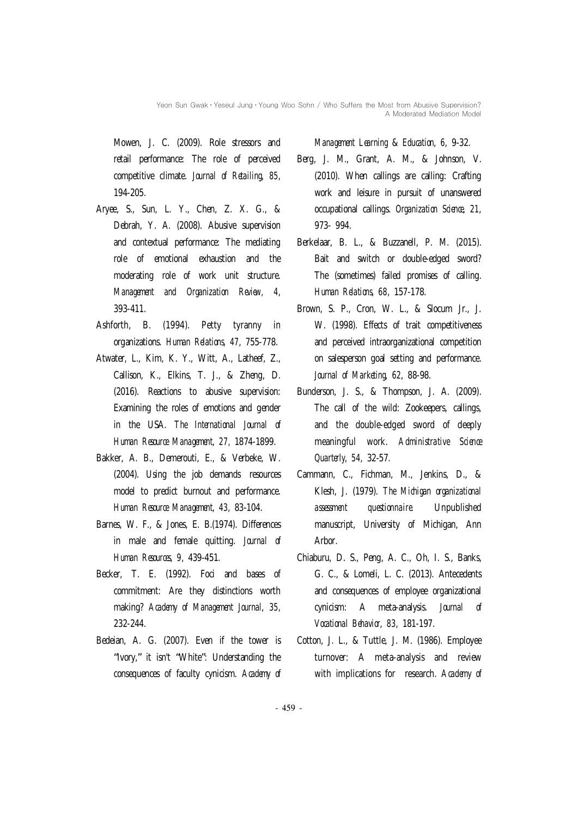Mowen, J. C. (2009). Role stressors and retail performance: The role of perceived competitive climate. *Journal of Retailing*, *85*, 194-205.

- Aryee, S., Sun, L. Y., Chen, Z. X. G., & Debrah, Y. A. (2008). Abusive supervision and contextual performance: The mediating role of emotional exhaustion and the moderating role of work unit structure. *Management and Organization Review, 4*, 393-411.
- Ashforth, B. (1994). Petty tyranny in organizations. *Human Relations, 47*, 755-778.
- Atwater, L., Kim, K. Y., Witt, A., Latheef, Z., Callison, K., Elkins, T. J., & Zheng, D. (2016). Reactions to abusive supervision: Examining the roles of emotions and gender in the USA. *The International Journal of Human Resource Management*, *27,* 1874-1899.
- Bakker, A. B., Demerouti, E., & Verbeke, W. (2004). Using the job demands resources model to predict burnout and performance. *Human Resource Management*, *43*, 83-104.
- Barnes, W. F., & Jones, E. B.(1974). Differences in male and female quitting. *Journal of Human Resources, 9*, 439-451.
- Becker, T. E. (1992). Foci and bases of commitment: Are they distinctions worth making? *Academy of Management Journal*, *35*, 232-244.
- Bedeian, A. G. (2007). Even if the tower is "Ivory," it isn't "White": Understanding the consequences of faculty cynicism. *Academy of*

*Management Learning* & *Education*, *6*, 9-32.

- Berg, J. M., Grant, A. M., & Johnson, V. (2010). When callings are calling: Crafting work and leisure in pursuit of unanswered occupational callings. *Organization Science*, *21*, 973- 994.
- Berkelaar, B. L., & Buzzanell, P. M. (2015). Bait and switch or double-edged sword? The (sometimes) failed promises of calling. *Human Relations*, *68*, 157-178.
- Brown, S. P., Cron, W. L., & Slocum Jr., J. W. (1998). Effects of trait competitiveness and perceived intraorganizational competition on salesperson goal setting and performance. *Journal of Marketing*, *62*, 88-98.
- Bunderson, J. S., & Thompson, J. A. (2009). The call of the wild: Zookeepers, callings, and the double-edged sword of deeply meaningful work. *Administrative Science Quarterly*, *54*, 32-57.
- Cammann, C., Fichman, M., Jenkins, D., & Klesh, J. (1979). *The Michigan organizational assessment questionnaire.* Unpublished manuscript, University of Michigan, Ann Arbor.
- Chiaburu, D. S., Peng, A. C., Oh, I. S., Banks, G. C., & Lomeli, L. C. (2013). Antecedents and consequences of employee organizational cynicism: A meta-analysis. *Journal of Vocational Behavior*, *83*, 181-197.
- Cotton, J. L., & Tuttle, J. M. (1986). Employee turnover: A meta-analysis and review with implications for research. *Academy of*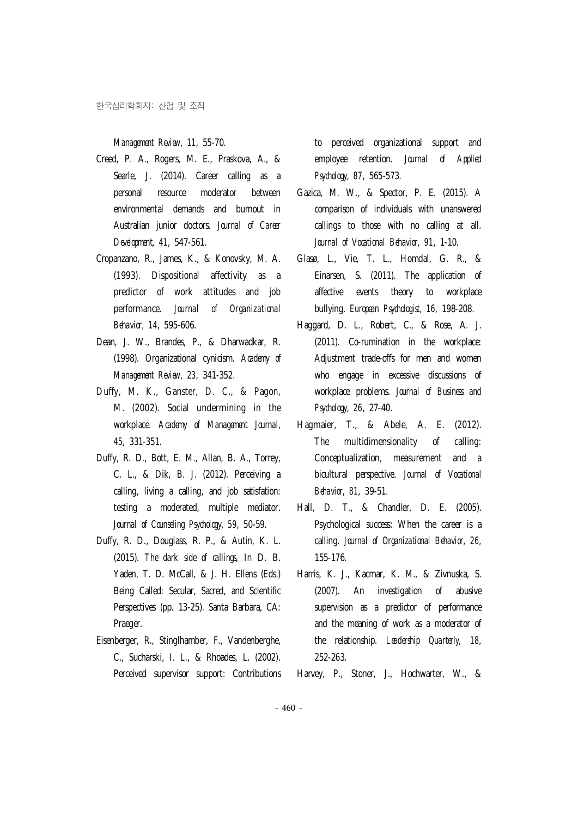### *Management Review, 11*, 55-70.

- Creed, P. A., Rogers, M. E., Praskova, A., & Searle, J. (2014). Career calling as a personal resource moderator between environmental demands and burnout in Australian junior doctors. *Journal of Career Development*, *41*, 547-561.
- Cropanzano, R., James, K., & Konovsky, M. A. (1993). Dispositional affectivity as a predictor of work attitudes and job performance. *Journal of Organizational Behavior, 14*, 595-606.
- Dean, J. W., Brandes, P., & Dharwadkar, R. (1998). Organizational cynicism. *Academy of Management Review*, *23*, 341-352.
- Duffy, M. K., Ganster, D. C., & Pagon, M. (2002). Social undermining in the workplace. *Academy of Management Journal*, *45*, 331-351.
- Duffy, R. D., Bott, E. M., Allan, B. A., Torrey, C. L., & Dik, B. J. (2012). Perceiving a calling, living a calling, and job satisfation: testing a moderated, multiple mediator. *Journal of Counseling Psychology*, *59*, 50-59.
- Duffy, R. D., Douglass, R. P., & Autin, K. L. (2015). *The dark side of callings*, In D. B. Yaden, T. D. McCall, & J. H. Ellens (Eds.) Being Called: Secular, Sacred, and Scientific Perspectives (pp. 13-25). Santa Barbara, CA: Praeger.
- Eisenberger, R., Stinglhamber, F., Vandenberghe, C., Sucharski, I. L., & Rhoades, L. (2002). Perceived supervisor support: Contributions

to perceived organizational support and employee retention. *Journal of Applied Psychology*, *87*, 565-573.

- Gazica, M. W., & Spector, P. E. (2015). A comparison of individuals with unanswered callings to those with no calling at all. *Journal of Vocational Behavior*, *91*, 1-10.
- Glasø, L., Vie, T. L., Homdal, G. R., & Einarsen, S. (2011). The application of affective events theory to workplace bullying. *European Psychologist*, *16*, 198-208.
- Haggard, D. L., Robert, C., & Rose, A. J. (2011). Co-rumination in the workplace: Adjustment trade-offs for men and women who engage in excessive discussions of workplace problems. *Journal of Business and Psychology*, *26*, 27-40.
- Hagmaier, T., & Abele, A. E. (2012). The multidimensionality of calling: Conceptualization, measurement and a bicultural perspective. *Journal of Vocational Behavior*, *81*, 39-51.
- Hall, D. T., & Chandler, D. E. (2005). Psychological success: When the career is a calling. *Journal of Organizational Behavior*, *26*, 155-176.
- Harris, K. J., Kacmar, K. M., & Zivnuska, S. (2007). An investigation of abusive supervision as a predictor of performance and the meaning of work as a moderator of the relationship. *Leadership Quarterly*, *18*, 252-263.
- Harvey, P., Stoner, J., Hochwarter, W., &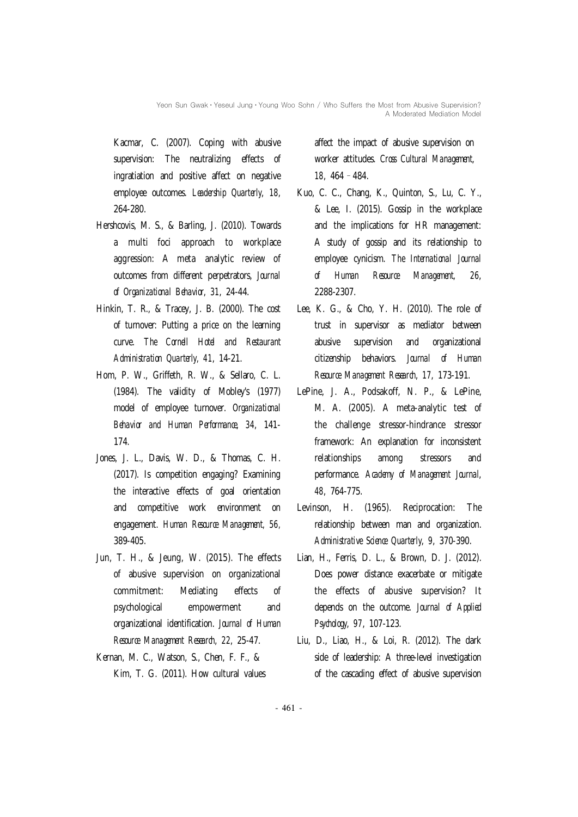Kacmar, C. (2007). Coping with abusive supervision: The neutralizing effects of ingratiation and positive affect on negative employee outcomes. *Leadership Quarterly*, *18*, 264-280.

- Hershcovis, M. S., & Barling, J. (2010). Towards a multi foci approach to workplace aggression: A meta analytic review of outcomes from different perpetrators, *Journal of Organizational Behavior*, *31*, 24-44.
- Hinkin, T. R., & Tracey, J. B. (2000). The cost of turnover: Putting a price on the learning curve. *The Cornell Hotel and Restaurant Administration Quarterly, 41*, 14-21.
- Hom, P. W., Griffeth, R. W., & Sellaro, C. L. (1984). The validity of Mobley's (1977) model of employee turnover. *Organizational Behavior and Human Performance*, *34*, 141- 174.
- Jones, J. L., Davis, W. D., & Thomas, C. H. (2017). Is competition engaging? Examining the interactive effects of goal orientation and competitive work environment on engagement. *Human Resource Management, 56,* 389-405.
- Jun, T. H., & Jeung, W. (2015). The effects of abusive supervision on organizational commitment: Mediating effects of psychological empowerment and organizational identification. *Journal of Human Resource Management Research*, *22*, 25-47.
- Kernan, M. C., Watson, S., Chen, F. F., & Kim, T. G. (2011). How cultural values

affect the impact of abusive supervision on worker attitudes. *Cross Cultural Management*, *18*, 464–484.

- Kuo, C. C., Chang, K., Quinton, S., Lu, C. Y., & Lee, I. (2015). Gossip in the workplace and the implications for HR management: A study of gossip and its relationship to employee cynicism. *The International Journal of Human Resource Management*, *26*, 2288-2307.
- Lee, K. G., & Cho, Y. H. (2010). The role of trust in supervisor as mediator between abusive supervision and organizational citizenship behaviors. *Journal of Human Resource Management Research*, *17*, 173-191.
- LePine, J. A., Podsakoff, N. P., & LePine, M. A. (2005). A meta-analytic test of the challenge stressor-hindrance stressor framework: An explanation for inconsistent relationships among stressors and performance. *Academy of Management Journal*, *48*, 764-775.
- Levinson, H. (1965). Reciprocation: The relationship between man and organization. *Administrative Science Quarterly*, *9*, 370-390.
- Lian, H., Ferris, D. L., & Brown, D. J. (2012). Does power distance exacerbate or mitigate the effects of abusive supervision? It depends on the outcome. *Journal of Applied Psychology*, *97*, 107-123.
- Liu, D., Liao, H., & Loi, R. (2012). The dark side of leadership: A three-level investigation of the cascading effect of abusive supervision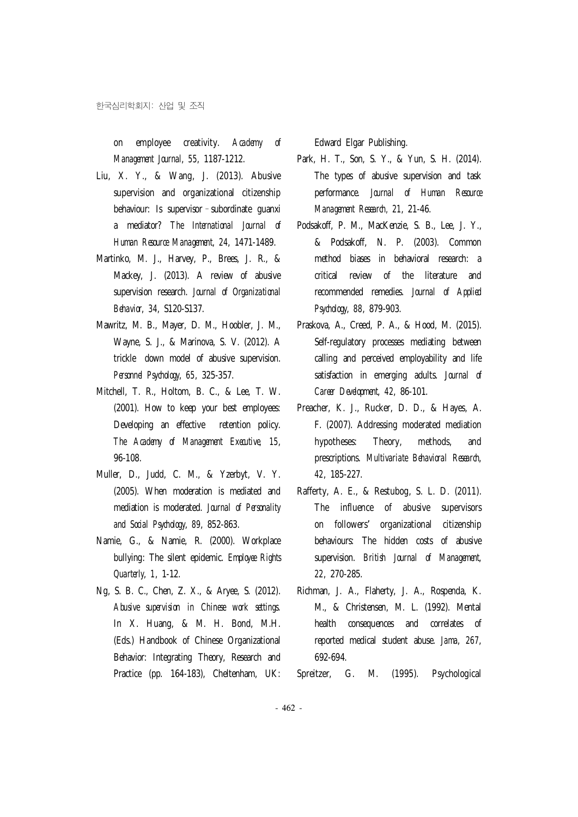on employee creativity. *Academy of Management Journal*, *55*, 1187-1212.

- Liu, X. Y., & Wang, J. (2013). Abusive supervision and organizational citizenship behaviour: Is supervisor–subordinate guanxi a mediator? *The International Journal of Human Resource Management*, *24*, 1471-1489.
- Martinko, M. J., Harvey, P., Brees, J. R., & Mackey, J. (2013). A review of abusive supervision research. *Journal of Organizational Behavior*, *34*, S120-S137.
- Mawritz, M. B., Mayer, D. M., Hoobler, J. M., Wayne, S. J., & Marinova, S. V. (2012). A trickle down model of abusive supervision. *Personnel Psychology*, *65*, 325-357.
- Mitchell, T. R., Holtom, B. C., & Lee, T. W. (2001). How to keep your best employees: Developing an effective retention policy. *The Academy of Management Executive, 15*, 96-108.
- Muller, D., Judd, C. M., & Yzerbyt, V. Y. (2005). When moderation is mediated and mediation is moderated. *Journal of Personality and Social Psychology*, *89*, 852-863.
- Namie, G., & Namie, R. (2000). Workplace bullying: The silent epidemic. *Employee Rights Quarterly*, *1*, 1-12.
- Ng, S. B. C., Chen, Z. X., & Aryee, S. (2012). *Abusive supervision in Chinese work settings.* In X. Huang, & M. H. Bond, M.H. (Eds.) Handbook of Chinese Organizational Behavior: Integrating Theory, Research and Practice (pp. 164-183), Cheltenham, UK:

Edward Elgar Publishing.

- Park, H. T., Son, S. Y., & Yun, S. H. (2014). The types of abusive supervision and task performance. *Journal of Human Resource Management Research, 21*, 21-46.
- Podsakoff, P. M., MacKenzie, S. B., Lee, J. Y., & Podsakoff, N. P. (2003). Common method biases in behavioral research: a critical review of the literature and recommended remedies. *Journal of Applied Psychology*, *88*, 879-903.
- Praskova, A., Creed, P. A., & Hood, M. (2015). Self-regulatory processes mediating between calling and perceived employability and life satisfaction in emerging adults. J*ournal of Career Development*, *42*, 86-101.
- Preacher, K. J., Rucker, D. D., & Hayes, A. F. (2007). Addressing moderated mediation hypotheses: Theory, methods, and prescriptions. *Multivariate Behavioral Research*, *42*, 185-227.
- Rafferty, A. E., & Restubog, S. L. D. (2011). The influence of abusive supervisors on followers' organizational citizenship behaviours: The hidden costs of abusive supervision. *British Journal of Management*, *22*, 270-285.
- Richman, J. A., Flaherty, J. A., Rospenda, K. M., & Christensen, M. L. (1992). Mental health consequences and correlates of reported medical student abuse. *Jama*, *267*, 692-694.
- Spreitzer, G. M. (1995). Psychological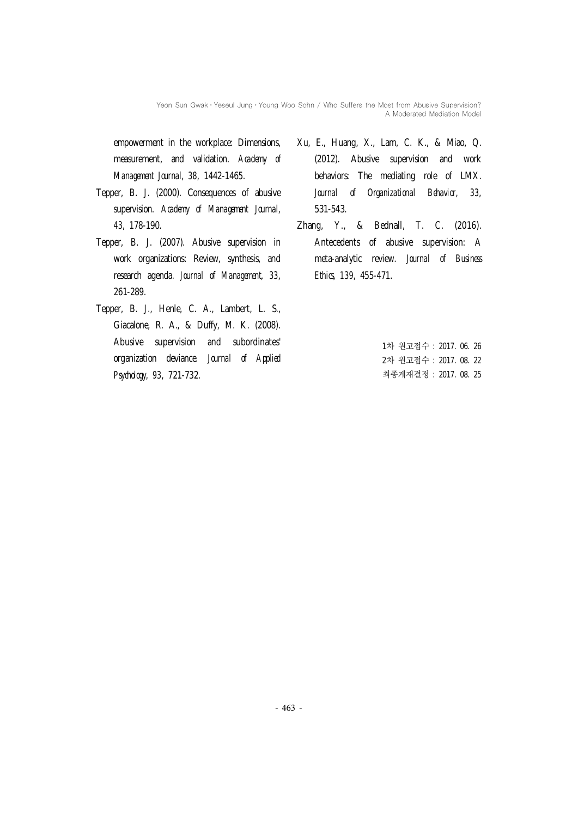Yeon Sun Gwak • Yeseul Jung • Young Woo Sohn / Who Suffers the Most from Abusive Supervision? A Moderated Mediation Model

empowerment in the workplace: Dimensions, measurement, and validation. *Academy of Management Journa*l, *38*, 1442-1465.

- Tepper, B. J. (2000). Consequences of abusive supervision. *Academy of Management Journal*, *43*, 178-190.
- Tepper, B. J. (2007). Abusive supervision in work organizations: Review, synthesis, and research agenda. *Journal of Management*, *33*, 261-289.
- Tepper, B. J., Henle, C. A., Lambert, L. S., Giacalone, R. A., & Duffy, M. K. (2008). Abusive supervision and subordinates' organization deviance. *Journal of Applied Psychology*, *93*, 721-732.
- Xu, E., Huang, X., Lam, C. K., & Miao, Q. (2012). Abusive supervision and work behaviors: The mediating role of LMX. *Journal of Organizational Behavior*, *33*, 531-543.
- Zhang, Y., & Bednall, T. C. (2016). Antecedents of abusive supervision: A meta-analytic review. *Journal of Business Ethics*, *139*, 455-471.

1차 원고접수 : 2017. 06. 26 2차 원고접수 : 2017. 08. 22 최종게재결정 : 2017. 08. 25